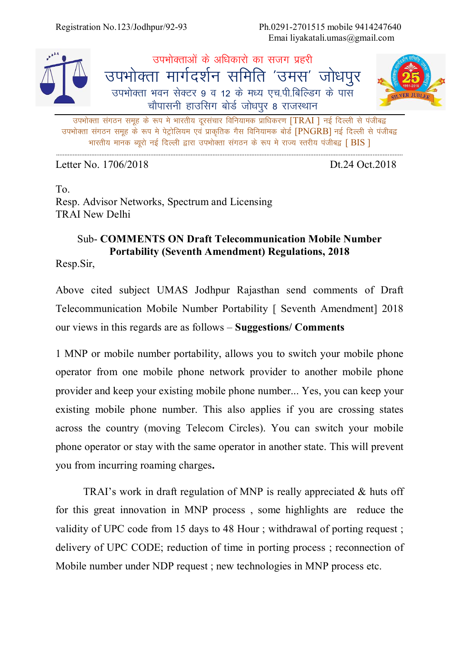Registration No.123/Jodhpur/92-93 Ph.0291-2701515 mobile 9414247640 Emai liyakatali.umas@gmail.com



*miHkk sDrk laxBu le wg d s :i es Hkkjrh; nwjlapkj fofu;ked izkf/kdj.k* [TRAI ] *ubZ fnYyh ls iathc} miHkk sDrk laxBu le wg d s :i es isV ªk sfy;e ,oa izkd`frd xSl fofu;ked cksMZ* [PNGRB] *ubZ fnYyh ls iathc} Hkkjrh; ekud C;wjks ubZ fnYyh }kjk miHkksDrk laxBu ds :i e s jkT; Lrjh; iathc}* [ BIS ]

Letter No. 1706/2018 **Dt.24 Oct.2018** 

To. Resp. Advisor Networks, Spectrum and Licensing TRAI New Delhi

## Sub- **COMMENTS ON Draft Telecommunication Mobile Number Portability (Seventh Amendment) Regulations, 2018**

Resp.Sir,

Above cited subject UMAS Jodhpur Rajasthan send comments of Draft Telecommunication Mobile Number Portability [ Seventh Amendment] 2018 our views in this regards are as follows – **Suggestions/ Comments** 

1 MNP or mobile number portability, allows you to switch your mobile phone operator from one mobile phone network provider to another mobile phone provider and keep your existing mobile phone number... Yes, you can keep your existing mobile phone number. This also applies if you are crossing states across the country (moving Telecom Circles). You can switch your mobile phone operator or stay with the same operator in another state. This will prevent you from incurring roaming charges**.** 

TRAI's work in draft regulation of MNP is really appreciated & huts off for this great innovation in MNP process , some highlights are reduce the validity of UPC code from 15 days to 48 Hour ; withdrawal of porting request ; delivery of UPC CODE; reduction of time in porting process ; reconnection of Mobile number under NDP request ; new technologies in MNP process etc.